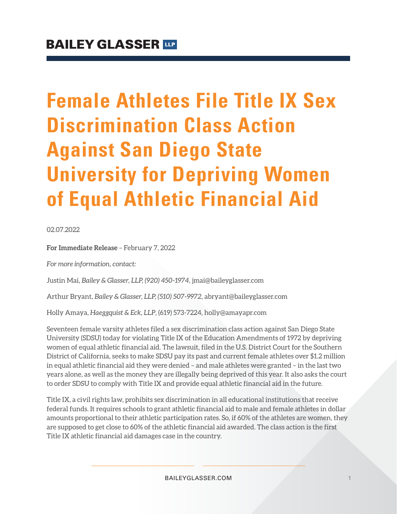# **Female Athletes File Title IX Sex Discrimination Class Action Against San Diego State University for Depriving Women of Equal Athletic Financial Aid**

02.07.2022

**For Immediate Release** – February 7, 2022

*For more information, contact:*

Justin Mai*, Bailey & Glasser, LLP, (920) 450-1974,* jmai@baileyglasser.com

Arthur Bryant*, Bailey & Glasser, LLP, (510) 507-9972,* abryant@baileyglasser.com

Holly Amaya, *Haeggquist & Eck, LLP*, (619) 573-7224, holly@amayapr.com

Seventeen female varsity athletes filed a sex discrimination class action against San Diego State University (SDSU) today for violating Title IX of the Education Amendments of 1972 by depriving women of equal athletic financial aid. The lawsuit, filed in the U.S. District Court for the Southern District of California, seeks to make SDSU pay its past and current female athletes over \$1.2 million in equal athletic financial aid they were denied – and male athletes were granted – in the last two years alone, as well as the money they are illegally being deprived of this year. It also asks the court to order SDSU to comply with Title IX and provide equal athletic financial aid in the future.

Title IX, a civil rights law, prohibits sex discrimination in all educational institutions that receive federal funds. It requires schools to grant athletic financial aid to male and female athletes in dollar amounts proportional to their athletic participation rates. So, if 60% of the athletes are women, they are supposed to get close to 60% of the athletic financial aid awarded. The class action is the first Title IX athletic financial aid damages case in the country.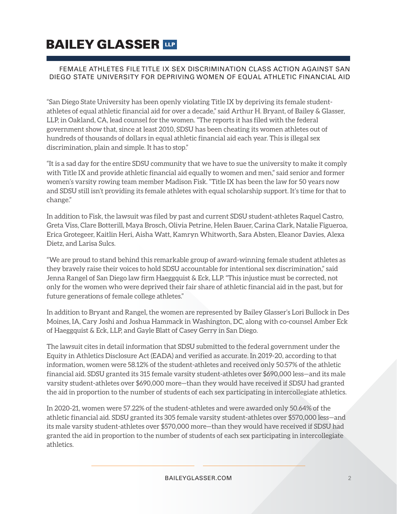# **BAILEY GLASSER TIP**

### FEMALE ATHLETES FILE TITLE IX SEX DISCRIMINATION CLASS ACTION AGAINST SAN DIEGO STATE UNIVERSITY FOR DEPRIVING WOMEN OF EQUAL ATHLETIC FINANCIAL AID

"San Diego State University has been openly violating Title IX by depriving its female studentathletes of equal athletic financial aid for over a decade," said Arthur H. Bryant, of Bailey & Glasser, LLP, in Oakland, CA, lead counsel for the women. "The reports it has filed with the federal government show that, since at least 2010, SDSU has been cheating its women athletes out of hundreds of thousands of dollars in equal athletic financial aid each year. This is illegal sex discrimination, plain and simple. It has to stop."

"It is a sad day for the entire SDSU community that we have to sue the university to make it comply with Title IX and provide athletic financial aid equally to women and men," said senior and former women's varsity rowing team member Madison Fisk. "Title IX has been the law for 50 years now and SDSU still isn't providing its female athletes with equal scholarship support. It's time for that to change."

In addition to Fisk, the lawsuit was filed by past and current SDSU student-athletes Raquel Castro, Greta Viss, Clare Botterill, Maya Brosch, Olivia Petrine, Helen Bauer, Carina Clark, Natalie Figueroa, Erica Grotegeer, Kaitlin Heri, Aisha Watt, Kamryn Whitworth, Sara Absten, Eleanor Davies, Alexa Dietz, and Larisa Sulcs.

"We are proud to stand behind this remarkable group of award-winning female student athletes as they bravely raise their voices to hold SDSU accountable for intentional sex discrimination," said Jenna Rangel of San Diego law firm Haeggquist & Eck, LLP. "This injustice must be corrected, not only for the women who were deprived their fair share of athletic financial aid in the past, but for future generations of female college athletes."

In addition to Bryant and Rangel, the women are represented by Bailey Glasser's Lori Bullock in Des Moines, IA, Cary Joshi and Joshua Hammack in Washington, DC, along with co-counsel Amber Eck of Haeggquist & Eck, LLP, and Gayle Blatt of Casey Gerry in San Diego.

The lawsuit cites in detail information that SDSU submitted to the federal government under the Equity in Athletics Disclosure Act (EADA) and verified as accurate. In 2019-20, according to that information, women were 58.12% of the student-athletes and received only 50.57% of the athletic financial aid. SDSU granted its 315 female varsity student-athletes over \$690,000 less—and its male varsity student-athletes over \$690,000 more—than they would have received if SDSU had granted the aid in proportion to the number of students of each sex participating in intercollegiate athletics.

In 2020-21, women were 57.22% of the student-athletes and were awarded only 50.64% of the athletic financial aid. SDSU granted its 305 female varsity student-athletes over \$570,000 less—and its male varsity student-athletes over \$570,000 more—than they would have received if SDSU had granted the aid in proportion to the number of students of each sex participating in intercollegiate athletics.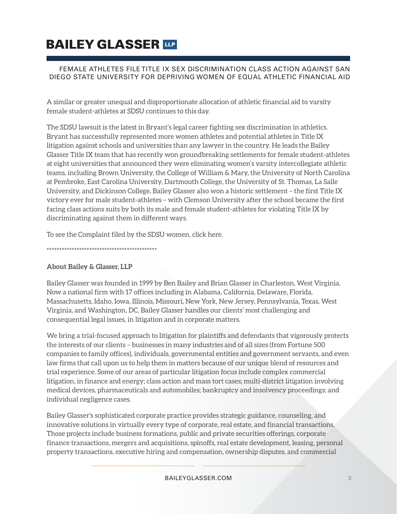# **BAILEY GLASSER TIP**

### FEMALE ATHLETES FILE TITLE IX SEX DISCRIMINATION CLASS ACTION AGAINST SAN DIEGO STATE UNIVERSITY FOR DEPRIVING WOMEN OF EQUAL ATHLETIC FINANCIAL AID

A similar or greater unequal and disproportionate allocation of athletic financial aid to varsity female student-athletes at SDSU continues to this day.

The SDSU lawsuit is the latest in Bryant's legal career fighting sex discrimination in athletics. Bryant has successfully represented more women athletes and potential athletes in Title IX litigation against schools and universities than any lawyer in the country. He leads the Bailey Glasser Title IX team that has recently won groundbreaking settlements for female student-athletes at eight universities that announced they were eliminating women's varsity intercollegiate athletic teams, including Brown University, the College of William & Mary, the University of North Carolina at Pembroke, East Carolina University, Dartmouth College, the University of St. Thomas, La Salle University, and Dickinson College**.** Bailey Glasser also won a historic settlement – the first Title IX victory ever for male student-athletes – with Clemson University after the school became the first facing class actions suits by both its male and female student-athletes for violating Title IX by discriminating against them in different ways.

To see the Complaint filed by the SDSU women, click here.

\*\*\*\*\*\*\*\*\*\*\*\*\*\*\*\*\*\*\*\*\*\*\*\*\*\*\*\*\*\*\*\*\*\*\*\*\*\*\*\*\*\*\*\*

### **About Bailey & Glasser, LLP**

Bailey Glasser was founded in 1999 by Ben Bailey and Brian Glasser in Charleston, West Virginia. Now a national firm with 17 offices including in Alabama, California, Delaware, Florida, Massachusetts, Idaho, Iowa, Illinois, Missouri, New York, New Jersey, Pennsylvania, Texas, West Virginia, and Washington, DC, Bailey Glasser handles our clients' most challenging and consequential legal issues, in litigation and in corporate matters.

We bring a trial-focused approach to litigation for plaintiffs and defendants that vigorously protects the interests of our clients – businesses in many industries and of all sizes (from Fortune 500 companies to family offices), individuals, governmental entities and government servants, and even law firms that call upon us to help them in matters because of our unique blend of resources and trial experience. Some of our areas of particular litigation focus include complex commercial litigation, in finance and energy; class action and mass tort cases; multi-district litigation involving medical devices, pharmaceuticals and automobiles; bankruptcy and insolvency proceedings; and individual negligence cases.

Bailey Glasser's sophisticated corporate practice provides strategic guidance, counseling, and innovative solutions in virtually every type of corporate, real estate, and financial transactions. Those projects include business formations, public and private securities offerings, corporate finance transactions, mergers and acquisitions, spinoffs, real estate development, leasing, personal property transactions, executive hiring and compensation, ownership disputes, and commercial